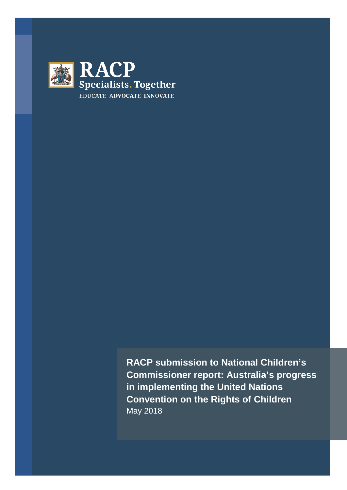

**RACP submission to National Children's Commissioner report: Australia's progress in implementing the United Nations Convention on the Rights of Children** May 2018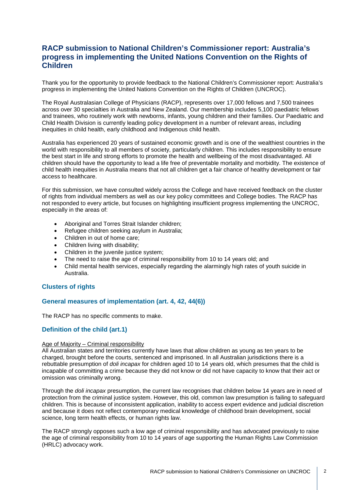# **RACP submission to National Children's Commissioner report: Australia's progress in implementing the United Nations Convention on the Rights of Children**

Thank you for the opportunity to provide feedback to the National Children's Commissioner report: Australia's progress in implementing the United Nations Convention on the Rights of Children (UNCROC).

The Royal Australasian College of Physicians (RACP), represents over 17,000 fellows and 7,500 trainees across over 30 specialties in Australia and New Zealand. Our membership includes 5,100 paediatric fellows and trainees, who routinely work with newborns, infants, young children and their families. Our Paediatric and Child Health Division is currently leading policy development in a number of relevant areas, including inequities in child health, early childhood and Indigenous child health.

Australia has experienced 20 years of sustained economic growth and is one of the wealthiest countries in the world with responsibility to all members of society, particularly children. This includes responsibility to ensure the best start in life and strong efforts to promote the health and wellbeing of the most disadvantaged. All children should have the opportunity to lead a life free of preventable mortality and morbidity. The existence of child health inequities in Australia means that not all children get a fair chance of healthy development or fair access to healthcare.

For this submission, we have consulted widely across the College and have received feedback on the cluster of rights from individual members as well as our key policy committees and College bodies. The RACP has not responded to every article, but focuses on highlighting insufficient progress implementing the UNCROC, especially in the areas of:

- Aboriginal and Torres Strait Islander children;
- Refugee children seeking asylum in Australia;
- Children in out of home care;
- Children living with disability;
- Children in the juvenile justice system;
- The need to raise the age of criminal responsibility from 10 to 14 years old; and
- Child mental health services, especially regarding the alarmingly high rates of youth suicide in Australia.

### **Clusters of rights**

### **General measures of implementation (art. 4, 42, 44(6))**

The RACP has no specific comments to make.

## **Definition of the child (art.1)**

#### Age of Majority – Criminal responsibility

All Australian states and territories currently have laws that allow children as young as ten years to be charged, brought before the courts, sentenced and imprisoned. In all Australian jurisdictions there is a rebuttable presumption of *doli incapax* for children aged 10 to 14 years old, which presumes that the child is incapable of committing a crime because they did not know or did not have capacity to know that their act or omission was criminally wrong.

Through the *doli incapax* presumption, the current law recognises that children below 14 years are in need of protection from the criminal justice system. However, this old, common law presumption is failing to safeguard children. This is because of inconsistent application, inability to access expert evidence and judicial discretion and because it does not reflect contemporary medical knowledge of childhood brain development, social science, long term health effects, or human rights law.

The RACP strongly opposes such a low age of criminal responsibility and has advocated previously to raise the age of criminal responsibility from 10 to 14 years of age supporting the Human Rights Law Commission (HRLC) advocacy work.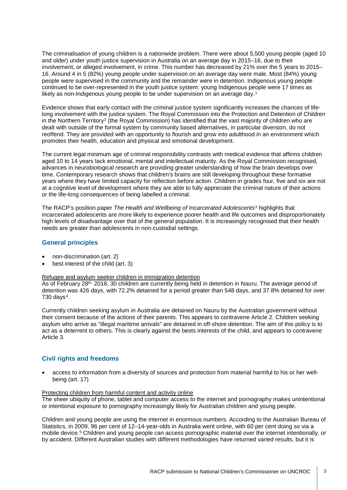The criminalisation of young children is a nationwide problem. There were about 5,500 young people (aged 10 and older) under youth justice supervision in Australia on an average day in 2015–16, due to their involvement, or alleged involvement, in crime. This number has decreased by 21% over the 5 years to 2015– 16. Around 4 in 5 (82%) young people under supervision on an average day were male. Most (84%) young people were supervised in the community and the remainder were in detention. Indigenous young people continued to be over-represented in the youth justice system: young Indigenous people were 17 times as likely as non-Indigenous young people to be under supervision on an average day.<sup>[1](#page-6-0)</sup>

Evidence shows that early contact with the criminal justice system significantly increases the chances of lifelong involvement with the justice system. The Royal Commission into the Protection and Detention of Children in the Northern Territory<sup>[2](#page-6-1)</sup> (the Royal Commission) has identified that the vast majority of children who are dealt with outside of the formal system by community based alternatives, in particular diversion, do not reoffend. They are provided with an opportunity to flourish and grow into adulthood in an environment which promotes their health, education and physical and emotional development.

The current legal minimum age of criminal responsibility contrasts with medical evidence that affirms children aged 10 to 14 years lack emotional, mental and intellectual maturity. As the Royal Commission recognised, advances in neurobiological research are providing greater understanding of how the brain develops over time. Contemporary research shows that children's brains are still developing throughout these formative years where they have limited capacity for reflection before action. Children in grades four, five and six are not at a cognitive level of development where they are able to fully appreciate the criminal nature of their actions or the life-long consequences of being labelled a criminal.

The RACP's position paper *The Health and Wellbeing of Incarcerated Adolescents*[3](#page-6-2) highlights that incarcerated adolescents are more likely to experience poorer health and life outcomes and disproportionately high levels of disadvantage over that of the general population. It is increasingly recognised that their health needs are greater than adolescents in non-custodial settings.

## **General principles**

- non-discrimination (art. 2)
- best interest of the child (art. 3)

#### Refugee and asylum seeker children in immigration detention

As of February 28th, 2018, 30 children are currently being held in detention in Nauru. The average period of detention was 426 days, with 72.2% detained for a period greater than 548 days, and 37.8% detained for over 730 days $4$ .

Currently children seeking asylum in Australia are detained on Nauru by the Australian government without their consent because of the actions of their parents. This appears to contravene Article 2. Children seeking asylum who arrive as "illegal maritime arrivals" are detained in off-shore detention. The aim of this policy is to act as a deterrent to others. This is clearly against the bests interests of the child, and appears to contravene Article 3.

### **Civil rights and freedoms**

• access to information from a diversity of sources and protection from material harmful to his or her wellbeing (art. 17)

#### Protecting children from harmful content and activity online The sheer ubiquity of phone, tablet and computer access to the internet and pornography makes unintentional or intentional exposure to pornography increasingly likely for Australian children and young people.

Children and young people are using the internet in enormous numbers. According to the Australian Bureau of Statistics, in 2009, 96 per cent of 12–14-year-olds in Australia went online, with 60 per cent doing so via a mobile device.[5](#page-6-4) Children and young people can access pornographic material over the internet intentionally, or by accident. Different Australian studies with different methodologies have returned varied results, but it is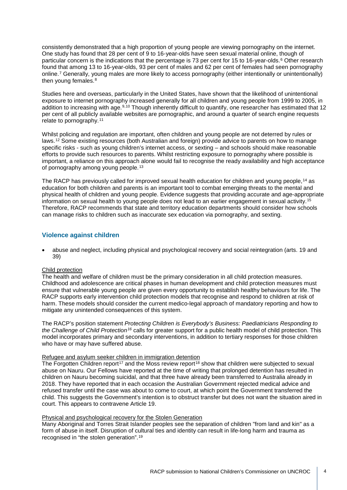consistently demonstrated that a high proportion of young people are viewing pornography on the internet. One study has found that 28 per cent of 9 to 16-year-olds have seen sexual material online, though of particular concern is the indications that the percentage is 73 per cent for 15 to 1[6](#page-7-0)-year-olds.<sup>6</sup> Other research found that among 13 to 16-year-olds, 93 per cent of males and 62 per cent of females had seen pornography online.[7](#page-7-1) Generally, young males are more likely to access pornography (either intentionally or unintentionally) then young females.<sup>[8](#page-7-2)</sup>

Studies here and overseas, particularly in the United States, have shown that the likelihood of unintentional exposure to internet pornography increased generally for all children and young people from 1999 to 2005, in addition to increasing with age.<sup>[9](#page-7-3),[10](#page-7-4)</sup> Though inherently difficult to quantify, one researcher has estimated that 12 per cent of all publicly available websites are pornographic, and around a quarter of search engine requests relate to pornography.[11](#page-7-5)

Whilst policing and regulation are important, often children and young people are not deterred by rules or laws.[12](#page-7-6) Some existing resources (both Australian and foreign) provide advice to parents on how to manage specific risks - such as young children's internet access, or sexting – and schools should make reasonable efforts to provide such resources to parents. Whilst restricting exposure to pornography where possible is important, a reliance on this approach alone would fail to recognise the ready availability and high acceptance of pornography among young people.<sup>[13](#page-7-7)</sup>

The RACP has previously called for improved sexual health education for children and young people,[14](#page-7-8) as education for both children and parents is an important tool to combat emerging threats to the mental and physical health of children and young people. Evidence suggests that providing accurate and age-appropriate information on sexual health to young people does not lead to an earlier engagement in sexual activity.[15](#page-7-9) Therefore, RACP recommends that state and territory education departments should consider how schools can manage risks to children such as inaccurate sex education via pornography, and sexting.

### **Violence against children**

• abuse and neglect, including physical and psychological recovery and social reintegration (arts. 19 and 39)

#### Child protection

The health and welfare of children must be the primary consideration in all child protection measures. Childhood and adolescence are critical phases in human development and child protection measures must ensure that vulnerable young people are given every opportunity to establish healthy behaviours for life. The RACP supports early intervention child protection models that recognise and respond to children at risk of harm. These models should consider the current medico-legal approach of mandatory reporting and how to mitigate any unintended consequences of this system.

The RACP's position statement *Protecting Children is Everybody's Business: Paediatricians Responding to the Challenge of Child Protection[16](#page-7-10)* calls for greater support for a public health model of child protection. This model incorporates primary and secondary interventions, in addition to tertiary responses for those children who have or may have suffered abuse.

### Refugee and asylum seeker children in immigration detention

The Forgotten Children report<sup>[17](#page-7-11)</sup> and the Moss review report<sup>[18](#page-7-12)</sup> show that children were subjected to sexual abuse on Nauru. Our Fellows have reported at the time of writing that prolonged detention has resulted in children on Nauru becoming suicidal, and that three have already been transferred to Australia already in 2018. They have reported that in each occasion the Australian Government rejected medical advice and refused transfer until the case was about to come to court, at which point the Government transferred the child. This suggests the Government's intention is to obstruct transfer but does not want the situation aired in court. This appears to contravene Article 19.

#### Physical and psychological recovery for the Stolen Generation

Many Aboriginal and Torres Strait Islander peoples see the separation of children "from land and kin" as a form of abuse in itself. Disruption of cultural ties and identity can result in life-long harm and trauma as recognised in "the stolen generation".[19](#page-7-13)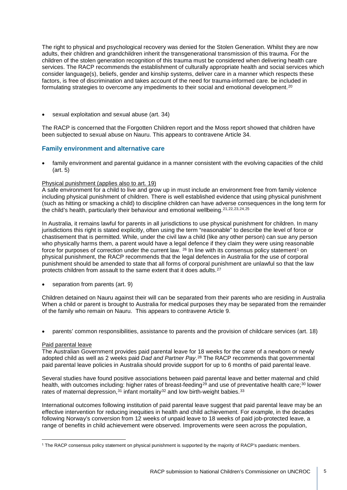The right to physical and psychological recovery was denied for the Stolen Generation. Whilst they are now adults, their children and grandchildren inherit the transgenerational transmission of this trauma. For the children of the stolen generation recognition of this trauma must be considered when delivering health care services. The RACP recommends the establishment of culturally appropriate health and social services which consider language(s), beliefs, gender and kinship systems, deliver care in a manner which respects these factors, is free of discrimination and takes account of the need for trauma-informed care. be included in formulating strategies to overcome any impediments to their social and emotional development.[20](#page-8-0)

• sexual exploitation and sexual abuse (art. 34)

The RACP is concerned that the Forgotten Children report and the Moss report showed that children have been subjected to sexual abuse on Nauru. This appears to contravene Article 34.

### **Family environment and alternative care**

• family environment and parental quidance in a manner consistent with the evolving capacities of the child (art. 5)

### Physical punishment (applies also to art. 19)

A safe environment for a child to live and grow up in must include an environment free from family violence including physical punishment of children. There is well established evidence that using physical punishment (such as hitting or smacking a child) to discipline children can have adverse consequences in the long term for the child's health, particularly their behaviour and emotional wellbeing.<sup>[21,](#page-8-1)[22](#page-8-2),[23,](#page-8-3)[24](#page-8-4),[25](#page-8-5)</sup>

In Australia, it remains lawful for parents in all jurisdictions to use physical punishment for children. In many jurisdictions this right is stated explicitly, often using the term "reasonable" to describe the level of force or chastisement that is permitted. While, under the civil law a child (like any other person) can sue any person who physically harms them, a parent would have a legal defence if they claim they were using reasonable force for purposes of correction under the current law. <sup>[26](#page-8-6)</sup> In line with its consensus policy statement<sup>[1](#page-4-0)</sup> on physical punishment, the RACP recommends that the legal defences in Australia for the use of corporal punishment should be amended to state that all forms of corporal punishment are unlawful so that the law protects children from assault to the same extent that it does adults.[27](#page-8-7)

separation from parents (art. 9)

Children detained on Nauru against their will can be separated from their parents who are residing in Australia When a child or parent is brought to Australia for medical purposes they may be separated from the remainder of the family who remain on Nauru. This appears to contravene Article 9.

• parents' common responsibilities, assistance to parents and the provision of childcare services (art. 18)

#### Paid parental leave

The Australian Government provides paid parental leave for 18 weeks for the carer of a newborn or newly adopted child as well as 2 weeks paid *Dad and Partner Pay*.[28](#page-8-8) The RACP recommends that governmental paid parental leave policies in Australia should provide support for up to 6 months of paid parental leave.

Several studies have found positive associations between paid parental leave and better maternal and child health, with outcomes including: higher rates of breast-feeding<sup>[29](#page-8-9)</sup> and use of preventative health care;<sup>[30](#page-8-10)</sup> lower rates of maternal depression,  $31$  infant mortality  $32$  and low birth-weight babies.  $33$ 

International outcomes following institution of paid parental leave suggest that paid parental leave may be an effective intervention for reducing inequities in health and child achievement. For example, in the decades following Norway's conversion from 12 weeks of unpaid leave to 18 weeks of paid job-protected leave, a range of benefits in child achievement were observed. Improvements were seen across the population,

<span id="page-4-0"></span><sup>1</sup> The RACP consensus policy statement on physical punishment is supported by the majority of RACP's paediatric members.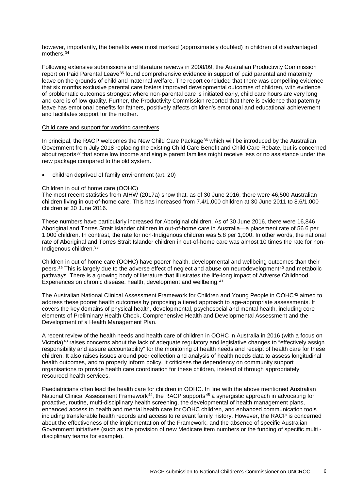however, importantly, the benefits were most marked (approximately doubled) in children of disadvantaged mothers[.34](#page-9-0)

Following extensive submissions and literature reviews in 2008/09, the Australian Productivity Commission report on Paid Parental Leave<sup>[35](#page-9-1)</sup> found comprehensive evidence in support of paid parental and maternity leave on the grounds of child and maternal welfare. The report concluded that there was compelling evidence that six months exclusive parental care fosters improved developmental outcomes of children, with evidence of problematic outcomes strongest where non-parental care is initiated early, child care hours are very long and care is of low quality. Further, the Productivity Commission reported that there is evidence that paternity leave has emotional benefits for fathers, positively affects children's emotional and educational achievement and facilitates support for the mother.

#### Child care and support for working caregivers

In principal, the RACP welcomes the New Child Care Package<sup>[36](#page-9-2)</sup> which will be introduced by the Australian Government from July 2018 replacing the existing Child Care Benefit and Child Care Rebate, but is concerned about reports<sup>[37](#page-9-3)</sup> that some low income and single parent families might receive less or no assistance under the new package compared to the old system.

• children deprived of family environment (art. 20)

#### Children in out of home care (OOHC)

The most recent statistics from AIHW (2017a) show that, as of 30 June 2016, there were 46,500 Australian children living in out-of-home care. This has increased from 7.4/1,000 children at 30 June 2011 to 8.6/1,000 children at 30 June 2016.

These numbers have particularly increased for Aboriginal children. As of 30 June 2016, there were 16,846 Aboriginal and Torres Strait Islander children in out-of-home care in Australia—a placement rate of 56.6 per 1,000 children. In contrast, the rate for non-Indigenous children was 5.8 per 1,000. In other words, the national rate of Aboriginal and Torres Strait Islander children in out-of-home care was almost 10 times the rate for non-Indigenous children.[38](#page-9-4)

Children in out of home care (OOHC) have poorer health, developmental and wellbeing outcomes than their peers.<sup>[39](#page-9-5)</sup> This is largely due to the adverse effect of neglect and abuse on neurodevelopment<sup>[40](#page-9-6)</sup> and metabolic pathways. There is a growing body of literature that illustrates the life-long impact of Adverse Childhood Experiences on chronic disease, health, development and wellbeing.<sup>[41](#page-9-7)</sup>

The Australian National Clinical Assessment Framework for Children and Young People in OOHC[42](#page-9-8) aimed to address these poorer health outcomes by proposing a tiered approach to age-appropriate assessments. It covers the key domains of physical health, developmental, psychosocial and mental health, including core elements of Preliminary Health Check, Comprehensive Health and Developmental Assessment and the Development of a Health Management Plan.

A recent review of the health needs and health care of children in OOHC in Australia in 2016 (with a focus on Victoria)[43](#page-9-9) raises concerns about the lack of adequate regulatory and legislative changes to "effectively assign responsibility and assure accountability" for the monitoring of health needs and receipt of health care for these children. It also raises issues around poor collection and analysis of health needs data to assess longitudinal health outcomes, and to properly inform policy. It criticises the dependency on community support organisations to provide health care coordination for these children, instead of through appropriately resourced health services.

Paediatricians often lead the health care for children in OOHC. In line with the above mentioned Australian National Clinical Assessment Framework<sup>[44](#page-9-10)</sup>, the RACP supports<sup>[45](#page-9-11)</sup> a synergistic approach in advocating for proactive, routine, multi-disciplinary health screening, the developmental of health management plans, enhanced access to health and mental health care for OOHC children, and enhanced communication tools including transferable health records and access to relevant family history. However, the RACP is concerned about the effectiveness of the implementation of the Framework, and the absence of specific Australian Government initiatives (such as the provision of new Medicare item numbers or the funding of specific multi disciplinary teams for example).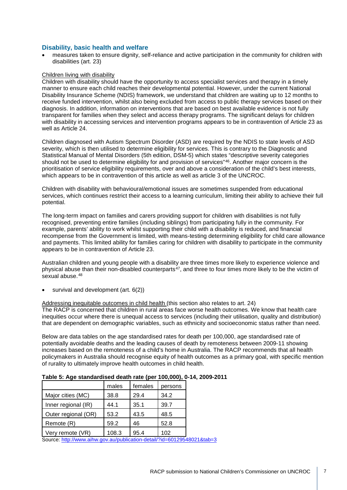### **Disability, basic health and welfare**

<span id="page-6-0"></span>• measures taken to ensure dignity, self-reliance and active participation in the community for children with disabilities (art. 23)

#### <span id="page-6-1"></span>Children living with disability

<span id="page-6-4"></span><span id="page-6-3"></span><span id="page-6-2"></span>Children with disability should have the opportunity to access specialist services and therapy in a timely manner to ensure each child reaches their developmental potential. However, under the current National Disability Insurance Scheme (NDIS) framework, we understand that children are waiting up to 12 months to receive funded intervention, whilst also being excluded from access to public therapy services based on their diagnosis. In addition, information on interventions that are based on best available evidence is not fully transparent for families when they select and access therapy programs. The significant delays for children with disability in accessing services and intervention programs appears to be in contravention of Article 23 as well as Article 24.

Children diagnosed with Autism Spectrum Disorder (ASD) are required by the NDIS to state levels of ASD severity, which is then utilised to determine eligibility for services. This is contrary to the Diagnostic and Statistical Manual of Mental Disorders (5th edition, DSM-5) which states "descriptive severity categories should not be used to determine eligibility for and provision of services"<sup>46</sup>. Another major concern is the prioritisation of service eligibility requirements, over and above a consideration of the child's best interests, which appears to be in contravention of this article as well as article 3 of the UNCROC.

Children with disability with behavioural/emotional issues are sometimes suspended from educational services, which continues restrict their access to a learning curriculum, limiting their ability to achieve their full potential.

The long-term impact on families and carers providing support for children with disabilities is not fully recognised, preventing entire families (including siblings) from participating fully in the community. For example, parents' ability to work whilst supporting their child with a disability is reduced, and financial recompense from the Government is limited, with means-testing determining eligibility for child care allowance and payments. This limited ability for families caring for children with disability to participate in the community appears to be in contravention of Article 23.

Australian children and young people with a disability are three times more likely to experience violence and physical abuse than their non-disabled counterparts<sup>47</sup>, and three to four times more likely to be the victim of sexual abuse.<sup>[48](#page-10-2)</sup>

• survival and development (art. 6(2))

### Addressing inequitable outcomes in child health (this section also relates to art. 24)

The RACP is concerned that children in rural areas face worse health outcomes. We know that health care inequities occur where there is unequal access to services (including their utilisation, quality and distribution) that are dependent on demographic variables, such as ethnicity and socioeconomic status rather than need.

Below are data tables on the age standardised rates for death per 100,000, age standardised rate of potentially avoidable deaths and the leading causes of death by remoteness between 2009-11 showing increases based on the remoteness of a child's home in Australia. The RACP recommends that all health policymakers in Australia should recognise equity of health outcomes as a primary goal, with specific mention of rurality to ultimately improve health outcomes in child health.

|                     | males | females | persons |
|---------------------|-------|---------|---------|
| Major cities (MC)   | 38.8  | 29.4    | 34.2    |
| Inner regional (IR) | 44.1  | 35.1    | 39.7    |
| Outer regional (OR) | 53.2  | 43.5    | 48.5    |
| Remote (R)          | 59.2  | 46      | 52.8    |
| Very remote (VR)    | 108.3 | 95.4    | 102     |

#### **Table 5: Age standardised death rate (per 100,000), 0-14, 2009-2011**

Source[: http://www.aihw.gov.au/publication-detail/?id=60129548021&tab=3](http://www.aihw.gov.au/publication-detail/?id=60129548021&tab=3)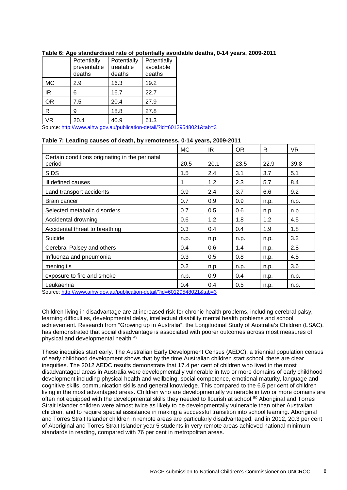|           | Potentially<br>preventable<br>deaths | Potentially<br>treatable<br>deaths | Potentially<br>avoidable<br>deaths |
|-----------|--------------------------------------|------------------------------------|------------------------------------|
| MC        | 2.9                                  | 16.3                               | 19.2                               |
| ΙR        | 6                                    | 16.7                               | 22.7                               |
| <b>OR</b> | 7.5                                  | 20.4                               | 27.9                               |
| R         | 9                                    | 18.8                               | 27.8                               |
| VR        | 20.4                                 | 40.9                               | 61.3                               |

### **Table 6: Age standardised rate of potentially avoidable deaths, 0-14 years, 2009-2011**

<span id="page-7-4"></span><span id="page-7-3"></span><span id="page-7-2"></span><span id="page-7-1"></span><span id="page-7-0"></span>Source[: http://www.aihw.gov.au/publication-detail/?id=60129548021&tab=3](http://www.aihw.gov.au/publication-detail/?id=60129548021&tab=3)

### **Table 7: Leading causes of death, by remoteness, 0-14 years, 2009-2011**

<span id="page-7-13"></span><span id="page-7-12"></span><span id="page-7-11"></span><span id="page-7-10"></span><span id="page-7-9"></span><span id="page-7-8"></span><span id="page-7-7"></span><span id="page-7-6"></span><span id="page-7-5"></span>

|                                                           | <b>MC</b> | IR.  | <b>OR</b> | R    | <b>VR</b> |
|-----------------------------------------------------------|-----------|------|-----------|------|-----------|
| Certain conditions originating in the perinatal<br>period | 20.5      | 20.1 | 23.5      | 22.9 | 39.8      |
| <b>SIDS</b>                                               | 1.5       | 2.4  | 3.1       | 3.7  | 5.1       |
| ill defined causes                                        | 1         | 1.2  | 2.3       | 5.7  | 8.4       |
| Land transport accidents                                  | 0.9       | 2.4  | 3.7       | 6.6  | 9.2       |
| <b>Brain cancer</b>                                       | 0.7       | 0.9  | 0.9       | n.p. | n.p.      |
| Selected metabolic disorders                              | 0.7       | 0.5  | 0.6       | n.p. | n.p.      |
| Accidental drowning                                       | 0.6       | 1.2  | 1.8       | 1.2  | 4.5       |
| Accidental threat to breathing                            | 0.3       | 0.4  | 0.4       | 1.9  | 1.8       |
| Suicide                                                   | n.p.      | n.p. | n.p.      | n.p. | 3.2       |
| Cerebral Palsey and others                                | 0.4       | 0.6  | 1.4       | n.p. | 2.8       |
| Influenza and pneumonia                                   | 0.3       | 0.5  | 0.8       | n.p. | 4.5       |
| meningitis                                                | 0.2       | n.p. | n.p.      | n.p. | 3.6       |
| exposure to fire and smoke                                | n.p.      | 0.9  | 0.4       | n.p. | n.p.      |
| Leukaemia                                                 | 0.4       | 0.4  | 0.5       | n.p. | n.p.      |

Source[: http://www.aihw.gov.au/publication-detail/?id=60129548021&tab=3](http://www.aihw.gov.au/publication-detail/?id=60129548021&tab=3)

Children living in disadvantage are at increased risk for chronic health problems, including cerebral palsy, learning difficulties, developmental delay, intellectual disability mental health problems and school achievement. Research from "Growing up in Australia", the Longitudinal Study of Australia's Children (LSAC), has demonstrated that social disadvantage is associated with poorer outcomes across most measures of physical and developmental health.[49](#page-10-3)

These inequities start early. The Australian Early Development Census (AEDC), a triennial population census of early childhood development shows that by the time Australian children start school, there are clear inequities. The 2012 AEDC results demonstrate that 17.4 per cent of children who lived in the most disadvantaged areas in Australia were developmentally vulnerable in two or more domains of early childhood development including physical health and wellbeing, social competence, emotional maturity, language and cognitive skills, communication skills and general knowledge. This compared to the 6.5 per cent of children living in the most advantaged areas. Children who are developmentally vulnerable in two or more domains are often not equipped with the developmental skills they needed to flourish at school.[50](#page-10-4) Aboriginal and Torres Strait Islander children were almost twice as likely to be developmentally vulnerable than other Australian children, and to require special assistance in making a successful transition into school learning. Aboriginal and Torres Strait Islander children in remote areas are particularly disadvantaged, and in 2012, 20.3 per cent of Aboriginal and Torres Strait Islander year 5 students in very remote areas achieved national minimum standards in reading, compared with 76 per cent in metropolitan areas.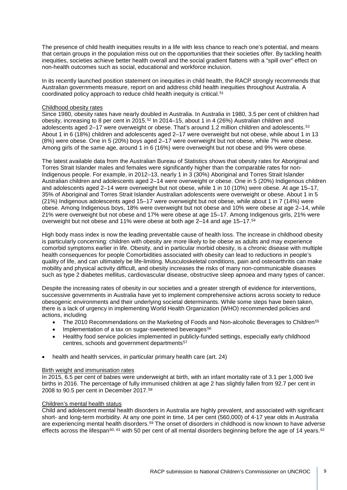The presence of child health inequities results in a life with less chance to reach one's potential, and means that certain groups in the population miss out on the opportunities that their societies offer. By tackling health inequities, societies achieve better health overall and the social gradient flattens with a "spill over" effect on non-health outcomes such as social, educational and workforce inclusion.

In its recently launched position statement on inequities in child health, the RACP strongly recommends that Australian governments measure, report on and address child health inequities throughout Australia. A coordinated policy approach to reduce child health inequity is critical.[51](#page-11-0)

#### Childhood obesity rates

Since 1980, obesity rates have nearly doubled in Australia. In Australia in 1980, 3.5 per cent of children had obesity, increasing to 8 per cent in 2015.[52](#page-11-1) In 2014–15, about 1 in 4 (26%) Australian children and adolescents aged 2-17 were overweight or obese. That's around 1.2 million children and adolescents.<sup>[53](#page-11-2)</sup> About 1 in 6 (18%) children and adolescents aged 2–17 were overweight but not obese, while about 1 in 13 (8%) were obese. One in 5 (20%) boys aged 2–17 were overweight but not obese, while 7% were obese. Among girls of the same age, around 1 in 6 (16%) were overweight but not obese and 9% were obese.

The latest available data from the Australian Bureau of Statistics shows that obesity rates for Aboriginal and Torres Strait Islander males and females were significantly higher than the comparable rates for non-Indigenous people. For example, in 2012–13, nearly 1 in 3 (30%) Aboriginal and Torres Strait Islander Australian children and adolescents aged 2–14 were overweight or obese. One in 5 (20%) Indigenous children and adolescents aged 2–14 were overweight but not obese, while 1 in 10 (10%) were obese. At age 15–17, 35% of Aboriginal and Torres Strait Islander Australian adolescents were overweight or obese. About 1 in 5 (21%) Indigenous adolescents aged 15–17 were overweight but not obese, while about 1 in 7 (14%) were obese. Among Indigenous boys, 18% were overweight but not obese and 10% were obese at age 2–14, while 21% were overweight but not obese and 17% were obese at age 15–17. Among Indigenous girls, 21% were overweight but not obese and 11% were obese at both age 2-14 and age 15-17.<sup>[54](#page-11-3)</sup>

<span id="page-8-4"></span><span id="page-8-3"></span><span id="page-8-2"></span><span id="page-8-1"></span><span id="page-8-0"></span>High body mass index is now the leading preventable cause of health loss. The increase in childhood obesity is particularly concerning: children with obesity are more likely to be obese as adults and may experience comorbid symptoms earlier in life. Obesity, and in particular morbid obesity, is a chronic disease with multiple health consequences for people Comorbidities associated with obesity can lead to reductions in people's quality of life, and can ultimately be life-limiting. Musculoskeletal conditions, pain and osteoarthritis can make mobility and physical activity difficult, and obesity increases the risks of many non-communicable diseases such as type 2 diabetes mellitus, cardiovascular disease, obstructive sleep apnoea and many types of cancer.

<span id="page-8-12"></span><span id="page-8-11"></span><span id="page-8-10"></span><span id="page-8-9"></span><span id="page-8-8"></span><span id="page-8-7"></span><span id="page-8-6"></span><span id="page-8-5"></span>Despite the increasing rates of obesity in our societies and a greater strength of evidence for interventions, successive governments in Australia have yet to implement comprehensive actions across society to reduce obesogenic environments and their underlying societal determinants. While some steps have been taken, there is a lack of urgency in implementing World Health Organization (WHO) recommended policies and actions, including

- <span id="page-8-13"></span>The 2010 Recommendations on the Marketing of Foods and Non-alcoholic Beverages to Children<sup>[55](#page-11-4)</sup>
- Implementation of a tax on sugar-sweetened beverages<sup>56</sup>
- Healthy food service policies implemented in publicly-funded settings, especially early childhood centres, schools and government departments<sup>[57](#page-11-6)</sup>
- health and health services, in particular primary health care (art. 24)

#### Birth weight and immunisation rates

In 2015, 6.5 per cent of babies were underweight at birth, with an infant mortality rate of 3.1 per 1,000 live births in 2016. The percentage of fully immunised children at age 2 has slightly fallen from 92.7 per cent in 2008 to 90.5 per cent in December 2017.[58](#page-11-7)

#### Children's mental health status

Child and adolescent mental health disorders in Australia are highly prevalent, and associated with significant short- and long-term morbidity. At any one point in time, 14 per cent (560,000) of 4-17 year olds in Australia are experiencing mental health disorders.<sup>[59](#page-11-8)</sup> The onset of disorders in childhood is now known to have adverse effects across the lifespan<sup>[60](#page-11-9), [61](#page-11-10)</sup> with 50 per cent of all mental disorders beginning before the age of 14 years.<sup>[62](#page-11-11)</sup>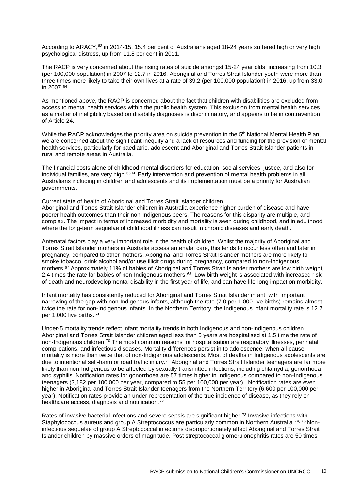According to ARACY,<sup>[63](#page-12-0)</sup> in 2014-15, 15.4 per cent of Australians aged 18-24 years suffered high or very high psychological distress, up from 11.8 per cent in 2011.

The RACP is very concerned about the rising rates of suicide amongst 15-24 year olds, increasing from 10.3 (per 100,000 population) in 2007 to 12.7 in 2016. Aboriginal and Torres Strait Islander youth were more than three times more likely to take their own lives at a rate of 39.2 (per 100,000 population) in 2016, up from 33.0 in 2007.[64](#page-12-1)

As mentioned above, the RACP is concerned about the fact that children with disabilities are excluded from access to mental health services within the public health system. This exclusion from mental health services as a matter of ineligibility based on disability diagnoses is discriminatory, and appears to be in contravention of Article 24.

While the RACP acknowledges the priority area on suicide prevention in the 5<sup>th</sup> National Mental Health Plan, we are concerned about the significant inequity and a lack of resources and funding for the provision of mental health services, particularly for paediatric, adolescent and Aboriginal and Torres Strait Islander patients in rural and remote areas in Australia.

The financial costs alone of childhood mental disorders for education, social services, justice, and also for individual families, are very high.[65](#page-12-2),[66](#page-12-3) Early intervention and prevention of mental health problems in all Australians including in children and adolescents and its implementation must be a priority for Australian governments.

#### Current state of health of Aboriginal and Torres Strait Islander children

Aboriginal and Torres Strait Islander children in Australia experience higher burden of disease and have poorer health outcomes than their non-Indigenous peers. The reasons for this disparity are multiple, and complex. The impact in terms of increased morbidity and mortality is seen during childhood, and in adulthood where the long-term sequelae of childhood illness can result in chronic diseases and early death.

Antenatal factors play a very important role in the health of children. Whilst the majority of Aboriginal and Torres Strait Islander mothers in Australia access antenatal care, this tends to occur less often and later in pregnancy, compared to other mothers. Aboriginal and Torres Strait Islander mothers are more likely to smoke tobacco, drink alcohol and/or use illicit drugs during pregnancy, compared to non-Indigenous mothers.[67](#page-12-4) Approximately 11% of babies of Aboriginal and Torres Strait Islander mothers are low birth weight, 2.4 times the rate for babies of non-Indigenous mothers.<sup>[68](#page-12-5)</sup> Low birth weight is associated with increased risk of death and neurodevelopmental disability in the first year of life, and can have life-long impact on morbidity.

Infant mortality has consistently reduced for Aboriginal and Torres Strait Islander infant, with important narrowing of the gap with non-Indigenous infants, although the rate (7.0 per 1,000 live births) remains almost twice the rate for non-Indigenous infants. In the Northern Territory, the Indigenous infant mortality rate is 12.7 per 1,000 live births.[69](#page-12-6)

<span id="page-9-5"></span><span id="page-9-4"></span><span id="page-9-3"></span><span id="page-9-2"></span><span id="page-9-1"></span><span id="page-9-0"></span>Under-5 mortality trends reflect infant mortality trends in both Indigenous and non-Indigenous children. Aboriginal and Torres Strait Islander children aged less than 5 years are hospitalised at 1.5 time the rate of non-Indigenous children.[70](#page-12-7) The most common reasons for hospitalisation are respiratory illnesses, perinatal complications, and infectious diseases. Mortality differences persist in to adolescence, when all-cause mortality is more than twice that of non-Indigenous adolescents. Most of deaths in Indigenous adolescents are due to intentional self-harm or road traffic injury.<sup>[71](#page-12-8)</sup> Aboriginal and Torres Strait Islander teenagers are far more likely than non-Indigenous to be affected by sexually transmitted infections, including chlamydia, gonorrhoea and syphilis. Notification rates for gonorrhoea are 57 times higher in Indigenous compared to non-Indigenous teenagers (3,182 per 100,000 per year, compared to 55 per 100,000 per year). Notification rates are even higher in Aboriginal and Torres Strait Islander teenagers from the Northern Territory (6,600 per 100,000 per year). Notification rates provide an under-representation of the true incidence of disease, as they rely on healthcare access, diagnosis and notification.<sup>[72](#page-12-9)</sup>

<span id="page-9-11"></span><span id="page-9-10"></span><span id="page-9-9"></span><span id="page-9-8"></span><span id="page-9-7"></span><span id="page-9-6"></span>Rates of invasive bacterial infections and severe sepsis are significant higher.<sup>[73](#page-12-10)</sup> Invasive infections with Staphylococcus aureus and group A Streptococcus are particularly common in Northern Australia.<sup>[74,](#page-12-11) [75](#page-12-12)</sup> Noninfectious sequelae of group A Streptococcal infections disproportionately affect Aboriginal and Torres Strait Islander children by massive orders of magnitude. Post streptococcal glomerulonephritis rates are 50 times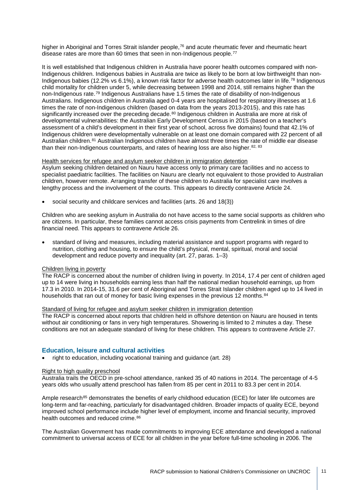<span id="page-10-3"></span>higher in Aboriginal and Torres Strait islander people,<sup>[76](#page-13-0)</sup> and acute rheumatic fever and rheumatic heart disease rates are more than 60 times that seen in non-Indigenous people.<sup>[77](#page-13-1)</sup>

<span id="page-10-4"></span>It is well established that Indigenous children in Australia have poorer health outcomes compared with non-Indigenous children. Indigenous babies in Australia are twice as likely to be born at low birthweight than non-Indigenous babies (12.2% vs 6.1%), a known risk factor for adverse health outcomes later in life.[78](#page-13-2) Indigenous child mortality for children under 5, while decreasing between 1998 and 2014, still remains higher than the non-Indigenous rate.[79](#page-13-3) Indigenous Australians have 1.5 times the rate of disability of non-Indigenous Australians. Indigenous children in Australia aged 0-4 years are hospitalised for respiratory illnesses at 1.6 times the rate of non-Indigenous children (based on data from the years 2013-2015), and this rate has significantly increased over the preceding decade.<sup>[80](#page-13-4)</sup> Indigenous children in Australia are more at risk of developmental vulnerabilities: the Australian Early Development Census in 2015 (based on a teacher's assessment of a child's development in their first year of school, across five domains) found that 42.1% of Indigenous children were developmentally vulnerable on at least one domain compared with 22 percent of all Australian children.<sup>[81](#page-13-5)</sup> Australian Indigenous children have almost three times the rate of middle ear disease than their non-Indigenous counterparts, and rates of hearing loss are also higher. $82, 83$  $82, 83$  $82, 83$ 

#### Health services for refugee and asylum seeker children in immigration detention

Asylum seeking children detained on Nauru have access only to primary care facilities and no access to specialist paediatric facilities. The facilities on Nauru are clearly not equivalent to those provided to Australian children, however remote. Arranging transfer of these children to Australia for specialist care involves a lengthy process and the involvement of the courts. This appears to directly contravene Article 24.

• social security and childcare services and facilities (arts. 26 and 18(3))

Children who are seeking asylum in Australia do not have access to the same social supports as children who are citizens. In particular, these families cannot access crisis payments from Centrelink in times of dire financial need. This appears to contravene Article 26.

• standard of living and measures, including material assistance and support programs with regard to nutrition, clothing and housing, to ensure the child's physical, mental, spiritual, moral and social development and reduce poverty and inequality (art. 27, paras. 1–3)

#### Children living in poverty

The RACP is concerned about the number of children living in poverty. In 2014, 17.4 per cent of children aged up to 14 were living in households earning less than half the national median household earnings, up from 17.3 in 2010. In 2014-15, 31.6 per cent of Aboriginal and Torres Strait Islander children aged up to 14 lived in households that ran out of money for basic living expenses in the previous 12 months.<sup>[84](#page-13-8)</sup>

#### Standard of living for refugee and asylum seeker children in immigration detention

The RACP is concerned about reports that children held in offshore detention on Nauru are housed in tents without air conditioning or fans in very high temperatures. Showering is limited to 2 minutes a day. These conditions are not an adequate standard of living for these children. This appears to contravene Article 27.

#### **Education, leisure and cultural activities**

• right to education, including vocational training and guidance (art. 28)

#### Right to high quality preschool

Australia trails the OECD in pre-school attendance, ranked 35 of 40 nations in 2014. The percentage of 4-5 years olds who usually attend preschool has fallen from 85 per cent in 2011 to 83.3 per cent in 2014.

Ample research<sup>[85](#page-13-9)</sup> demonstrates the benefits of early childhood education (ECE) for later life outcomes are long-term and far-reaching, particularly for disadvantaged children. Broader impacts of quality ECE, beyond improved school performance include higher level of employment, income and financial security, improved health outcomes and reduced crime. [86](#page-13-10)

<span id="page-10-2"></span><span id="page-10-1"></span><span id="page-10-0"></span>The Australian Government has made commitments to improving ECE attendance and developed a national commitment to universal access of ECE for all children in the year before full-time schooling in 2006. The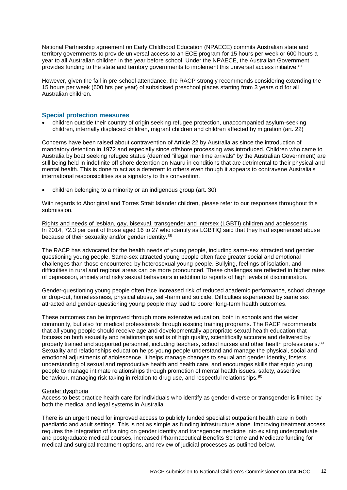National Partnership agreement on Early Childhood Education (NPAECE) commits Australian state and territory governments to provide universal access to an ECE program for 15 hours per week or 600 hours a year to all Australian children in the year before school. Under the NPAECE, the Australian Government provides funding to the state and territory governments to implement this universal access initiative. [87](#page-14-0)

<span id="page-11-3"></span><span id="page-11-2"></span><span id="page-11-1"></span><span id="page-11-0"></span>However, given the fall in pre-school attendance, the RACP strongly recommends considering extending the 15 hours per week (600 hrs per year) of subsidised preschool places starting from 3 years old for all Australian children.

### <span id="page-11-5"></span><span id="page-11-4"></span>**Special protection measures**

<span id="page-11-7"></span><span id="page-11-6"></span>• children outside their country of origin seeking refugee protection, unaccompanied asylum-seeking children, internally displaced children, migrant children and children affected by migration (art. 22)

<span id="page-11-10"></span><span id="page-11-9"></span><span id="page-11-8"></span>Concerns have been raised about contravention of Article 22 by Australia as since the introduction of mandatory detention in 1972 and especially since offshore processing was introduced. Children who came to Australia by boat seeking refugee status (deemed "illegal maritime arrivals" by the Australian Government) are still being held in indefinite off shore detention on Nauru in conditions that are detrimental to their physical and mental health. This is done to act as a deterrent to others even though it appears to contravene Australia's international responsibilities as a signatory to this convention.

<span id="page-11-11"></span>• children belonging to a minority or an indigenous group (art. 30)

With regards to Aboriginal and Torres Strait Islander children, please refer to our responses throughout this submission.

Rights and needs of lesbian, gay, bisexual, transgender and intersex (LGBTI) children and adolescents In 2014, 72.3 per cent of those aged 16 to 27 who identify as LGBTIQ said that they had experienced abuse because of their sexuality and/or gender identity.<sup>[88](#page-14-1)</sup>

The RACP has advocated for the health needs of young people, including same-sex attracted and gender questioning young people. Same-sex attracted young people often face greater social and emotional challenges than those encountered by heterosexual young people. Bullying, feelings of isolation, and difficulties in rural and regional areas can be more pronounced. These challenges are reflected in higher rates of depression, anxiety and risky sexual behaviours in addition to reports of high levels of discrimination.

Gender-questioning young people often face increased risk of reduced academic performance, school change or drop-out, homelessness, physical abuse, self-harm and suicide. Difficulties experienced by same sex attracted and gender-questioning young people may lead to poorer long-term health outcomes.

These outcomes can be improved through more extensive education, both in schools and the wider community, but also for medical professionals through existing training programs. The RACP recommends that all young people should receive age and developmentally appropriate sexual health education that focuses on both sexuality and relationships and is of high quality, scientifically accurate and delivered by properly trained and supported personnel, including teachers, school nurses and other health professionals.<sup>[89](#page-14-2)</sup> Sexuality and relationships education helps young people understand and manage the physical, social and emotional adjustments of adolescence. It helps manage changes to sexual and gender identity, fosters understanding of sexual and reproductive health and health care, and encourages skills that equip young people to manage intimate relationships through promotion of mental health issues, safety, assertive behaviour, managing risk taking in relation to drug use, and respectful relationships.<sup>[90](#page-14-3)</sup>

#### Gender dysphoria

Access to best practice health care for individuals who identify as gender diverse or transgender is limited by both the medical and legal systems in Australia.

There is an urgent need for improved access to publicly funded specialist outpatient health care in both paediatric and adult settings. This is not as simple as funding infrastructure alone. Improving treatment access requires the integration of training on gender identity and transgender medicine into existing undergraduate and postgraduate medical courses, increased Pharmaceutical Benefits Scheme and Medicare funding for medical and surgical treatment options, and review of judicial processes as outlined below.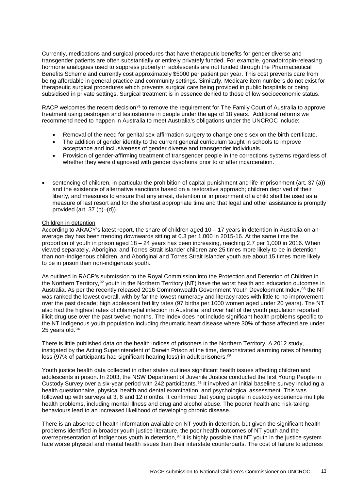Currently, medications and surgical procedures that have therapeutic benefits for gender diverse and transgender patients are often substantially or entirely privately funded. For example, gonadotropin-releasing hormone analogues used to suppress puberty in adolescents are not funded through the Pharmaceutical Benefits Scheme and currently cost approximately \$5000 per patient per year. This cost prevents care from being affordable in general practice and community settings. Similarly, Medicare item numbers do not exist for therapeutic surgical procedures which prevents surgical care being provided in public hospitals or being subsidised in private settings. Surgical treatment is in essence denied to those of low socioeconomic status.

RACP welcomes the recent decision<sup>[91](#page-15-0)</sup> to remove the requirement for The Family Court of Australia to approve treatment using oestrogen and testosterone in people under the age of 18 years. Additional reforms we recommend need to happen in Australia to meet Australia's obligations under the UNCROC include:

- Removal of the need for genital sex-affirmation surgery to change one's sex on the birth certificate.
- The addition of gender identity to the current general curriculum taught in schools to improve acceptance and inclusiveness of gender diverse and transgender individuals.
- Provision of gender-affirming treatment of transgender people in the corrections systems regardless of whether they were diagnosed with gender dysphoria prior to or after incarceration.
- <span id="page-12-3"></span><span id="page-12-2"></span><span id="page-12-1"></span><span id="page-12-0"></span>• sentencing of children, in particular the prohibition of capital punishment and life imprisonment (art. 37 (a)) and the existence of alternative sanctions based on a restorative approach; children deprived of their liberty, and measures to ensure that any arrest, detention or imprisonment of a child shall be used as a measure of last resort and for the shortest appropriate time and that legal and other assistance is promptly provided (art.  $37$  (b)–(d))

#### <span id="page-12-7"></span><span id="page-12-6"></span><span id="page-12-5"></span><span id="page-12-4"></span>Children in detention

<span id="page-12-11"></span><span id="page-12-10"></span><span id="page-12-9"></span><span id="page-12-8"></span>According to ARACY's latest report, the share of children aged 10 – 17 years in detention in Australia on an average day has been trending downwards sitting at 0.3 per 1,000 in 2015-16. At the same time the proportion of youth in prison aged 18 – 24 years has been increasing, reaching 2.7 per 1,000 in 2016. When viewed separately, Aboriginal and Torres Strait Islander children are 25 times more likely to be in detention than non-Indigenous children, and Aboriginal and Torres Strait Islander youth are about 15 times more likely to be in prison than non-indigenous youth.

<span id="page-12-12"></span>As outlined in RACP's submission to the Royal Commission into the Protection and Detention of Children in the Northern Territory,<sup>[92](#page-15-1)</sup> youth in the Northern Territory (NT) have the worst health and education outcomes in Australia. As per the recently released 2016 Commonwealth Government Youth Development Index, [93](#page-15-2) the NT was ranked the lowest overall, with by far the lowest numeracy and literacy rates with little to no improvement over the past decade; high adolescent fertility rates (97 births per 1000 women aged under 20 years). The NT also had the highest rates of chlamydial infection in Australia; and over half of the youth population reported illicit drug use over the past twelve months. The Index does not include significant health problems specific to the NT Indigenous youth population including rheumatic heart disease where 30% of those affected are under 25 years old.<sup>[94](#page-15-3)</sup>

There is little published data on the health indices of prisoners in the Northern Territory. A 2012 study, instigated by the Acting Superintendent of Darwin Prison at the time, demonstrated alarming rates of hearing loss (97% of participants had significant hearing loss) in adult prisoners.[95](#page-15-4)

Youth justice health data collected in other states outlines significant health issues affecting children and adolescents in prison. In 2003, the NSW Department of Juvenile Justice conducted the first Young People in Custody Survey over a six-year period with 242 participants.<sup>[96](#page-15-5)</sup> It involved an initial baseline survey including a health questionnaire, physical health and dental examination, and psychological assessment. This was followed up with surveys at 3, 6 and 12 months. It confirmed that young people in custody experience multiple health problems, including mental illness and drug and alcohol abuse. The poorer health and risk-taking behaviours lead to an increased likelihood of developing chronic disease.

There is an absence of health information available on NT youth in detention, but given the significant health problems identified in broader youth justice literature, the poor health outcomes of NT youth and the overrepresentation of Indigenous youth in detention, <sup>[97](#page-15-6)</sup> it is highly possible that NT youth in the justice system face worse physical and mental health issues than their interstate counterparts. The cost of failure to address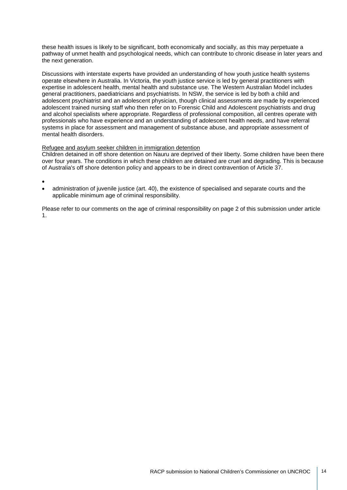these health issues is likely to be significant, both economically and socially, as this may perpetuate a pathway of unmet health and psychological needs, which can contribute to chronic disease in later years and the next generation.

Discussions with interstate experts have provided an understanding of how youth justice health systems operate elsewhere in Australia. In Victoria, the youth justice service is led by general practitioners with expertise in adolescent health, mental health and substance use. The Western Australian Model includes general practitioners, paediatricians and psychiatrists. In NSW, the service is led by both a child and adolescent psychiatrist and an adolescent physician, though clinical assessments are made by experienced adolescent trained nursing staff who then refer on to Forensic Child and Adolescent psychiatrists and drug and alcohol specialists where appropriate. Regardless of professional composition, all centres operate with professionals who have experience and an understanding of adolescent health needs, and have referral systems in place for assessment and management of substance abuse, and appropriate assessment of mental health disorders.

### Refugee and asylum seeker children in immigration detention

Children detained in off shore detention on Nauru are deprived of their liberty. Some children have been there over four years. The conditions in which these children are detained are cruel and degrading. This is because of Australia's off shore detention policy and appears to be in direct contravention of Article 37.

•

• administration of juvenile justice (art. 40), the existence of specialised and separate courts and the applicable minimum age of criminal responsibility.

<span id="page-13-10"></span><span id="page-13-9"></span><span id="page-13-8"></span><span id="page-13-7"></span><span id="page-13-6"></span><span id="page-13-5"></span><span id="page-13-4"></span><span id="page-13-3"></span><span id="page-13-2"></span><span id="page-13-1"></span><span id="page-13-0"></span>Please refer to our comments on the age of criminal responsibility on page 2 of this submission under article 1.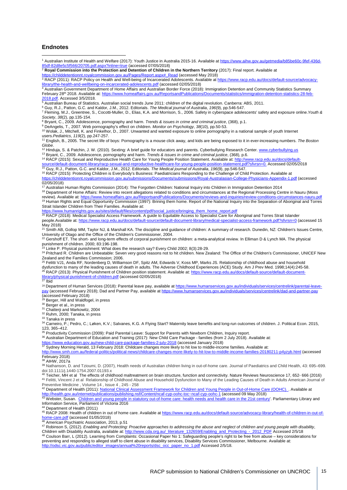#### **Endnotes**

<sup>1</sup> Australian Institute of Health and Welfare (2017): Youth Justice in Australia 2015-16. Available at [https://www.aihw.gov.au/getmedia/b85be60c-9fef-436d](https://www.aihw.gov.au/getmedia/b85be60c-9fef-436d-85df-82d8e5c5f566/20705.pdf.aspx?inline=true) e5c5f566/20705.pdf.aspx?inline=true (accessed 07/05/2018)

<sup>2</sup> **Royal Commission into the Protection and Detention of Children in the Northern Territory** (2017): Final report. Available at

ralcommission.gov.au/Pages/Report.aspx#\_Read (accessed May 2018)

3 RACP (2011): RACP Policy on Health and Well-being of Incarcerated Adolescents. Available a[t https://www.racp.edu.au/docs/default-source/advocacy-](https://www.racp.edu.au/docs/default-source/advocacy-library/the-health-and-wellbeing-on-incarcerated-adolescents.pdf)

<u>[library/the-health-and-wellbeing-on-incarcerated-adolescents.pdf](https://www.racp.edu.au/docs/default-source/advocacy-library/the-health-and-wellbeing-on-incarcerated-adolescents.pdf)</u> (accessed 02/05/2018)<br><sup>4</sup> Australian Government Department of Home Affairs and Australian Border Force (2018): Immigration Detention and Community Statisti February 28<sup>th</sup> 2018. Available at: [https://www.homeaffairs.gov.au/ReportsandPublications/Documents/statistics/immigration-detention-statistics-28-feb-](https://www.homeaffairs.gov.au/ReportsandPublications/Documents/statistics/immigration-detention-statistics-28-feb-2018.pdf)1 Burtany 2012. Avander at the statistics. Australian Superintendent Content Content of Statistics. Australian<br>
<sup>5</sup> Australian Bureau of Statistics. Australian social trends June 2011: children of the digital revolution. C

<sup>6</sup> Guy, R.J., Patton, G.C. and Kaldor, J.M., 2012. Editorials. *The Medical journal of Australia*, *196*(9), pp.546-547.

<sup>7</sup> Fleming, M.J., Greentree, S., Cocotti-Muller, D., Elias, K.A. and Morrison, S., 2006. Safety in cyberspace adolescents' safety and exposure online.*Youth & Society*, *38*(2), pp.135-154.

<sup>8</sup> Bryant, C., 2009. Adolescence, pornography and harm. *Trends & issues in crime and criminal justice*, (368), p.1.

<sup>9</sup> DeAngelis, T., 2007. Web pornography's effect on children. *Monitor on Psychology*, *38*(10), pp.50-53. <sup>10</sup> Wolak, J., Mitchell, K. and Finkelhor, D., 2007. Unwanted and wanted exposure to online pornography in a national sample of youth Internet

users.*Pediatrics*, *119*(2), pp.247-257. <sup>11</sup> English, B., 2005. The secret life of boys: Pornography is a mouse click away, and kids are being exposed to it in ever-increasing numbers. *The Boston Globe*.

<sup>12</sup> Hinduja, S. & Patchin, J. W. (2010). Sexting: A brief guide for educators and parents. Cyberbullying Research Center[. www.cyberbullying.us](http://www.cyberbullying.us/)

<sup>13</sup> Bryant, C., 2009. Adolescence, pornography and harm. *Trends & issues in crime and criminal justice*, (368), p.6.

<sup>14</sup> RACP (2015): Sexual and Reproductive Health Care for Young People Position Statement. Available at[: http://www.racp.edu.au/docs/default-](http://www.racp.edu.au/docs/default-source/default-document-library/racp-sexual-and-reproductive-health-care-for-young-people-position-statement.pdf?sfvrsn=0)

<u>[source/default-document-library/racp-sexual-and-reproductive-healthcare-for-young-people-position-statement.pdf?sfvrsn=0.](http://www.racp.edu.au/docs/default-source/default-document-library/racp-sexual-and-reproductive-health-care-for-young-people-position-statement.pdf?sfvrsn=0)</u> Accessed 02/05/2018<br><sup>15</sup> Guy, R.J., Patton, G.C. and Kaldor, J.M., 2012. Editorials. *The Medical* 

<sup>16</sup> RACP (2015): Protecting Children is Everybody's Business: Paediatricians Responding to the Challenge of Child Protection. Available at onnt.royalcommission.gov.au/submissions/Documents/submissions/Royal-Australasian-College-Physicians-Appendix-1.pdf (accessed

#### 02/05/2018)

<sup>17</sup> Australian Human Rights Commission (2014): The Forgotten Children: National Inquiry into Children in Immigration Detention 2014

18 Department of Home Affairs: Review into recent allegations related to conditions and circumstances at the Regional Processing Centre in Nauru (Moss review). Available at: <u>https://www.homeaffairs.gov.au/ReportsandPublications/Documents/reviews-and-inquiries/review-conditions-circumstances-nauru.pdf<br><sup>19</sup> Human Rights and Equal Opportunity Commission (1997): Brining the</u> Strait Islander Children from Their Families. Available at:

<u>[https://www.humanrights.gov.au/sites/default/files/content/pdf/social\\_justice/bringing\\_them\\_home\\_report.pdf](https://www.humanrights.gov.au/sites/default/files/content/pdf/social_justice/bringing_them_home_report.pdf)</u><br><sup>20</sup> RACP (2018): Medical Specialist Access Framework. A guide to Equitable Access to Specialist Care for Aborig

people.Available at:<https://www.racp.edu.au/docs/default-source/default-document-library/medical-specialist-access-framework.pdf?sfvrsn=0> (accessed 15 May 2018)

<sup>21</sup> Smith AB, Gollop MM, Taylor NJ, & Marshall KA. The discipline and guidance of children: A summary of research. Dunedin, NZ: Children's Issues Centre, University of Otago and the Office of the Children's Commissioner, 2004.

<sup>22</sup> Gershoff ET. The short- and long-term effects of corporal punishment on children: a meta-analytical review. In Elliman D & Lynch MA. The physical

punishment of children. 2000; 83:196-198.<br><sup>23</sup> Linke P. Physical punishment: What does the research say? Every Child 2002; 8(3):28-29.

<sup>24</sup> Pritchard R. Children are Unbeatable: Seven very good reasons not to hit children. New Zealand: The Office of the Children's Commissioner, UNICEF New Zealand and the Families Commission; 2006.<br><sup>25</sup> Felitti VJ1, Anda RF, Nordenberg D, Williamson DF, Spitz AM, Edwards V, Koss MP, Marks JS. Relationship of childhood abuse and household

dysfunction to many of the leading causes of death in adults. The Adverse Childhood Experiences (ACE) Study. Am J Prev Med. 1998;14(4):245-58.<br><sup>26</sup> RACP (2013): Physical Punishment of Children position statement. Available

# <u>[library/physical-punishment-of-children.pdf](https://www.racp.edu.au/docs/default-source/default-document-library/physical-punishment-of-children.pdf)</u> (accessed 02/05/2018)<br><sup>27</sup> Ibid

<sup>28</sup> Department of Human Services (2018): Parental leave pay, available a[t https://www.humanservices.gov.au/individuals/services/centrelink/parental-leave](https://www.humanservices.gov.au/individuals/services/centrelink/parental-leave-pay)[pay](https://www.humanservices.gov.au/individuals/services/centrelink/parental-leave-pay) (accessed February 2018); Dad and Partner Pay, available a[t https://www.humanservices.gov.au/individuals/services/centrelink/dad-and-partner-pay](https://www.humanservices.gov.au/individuals/services/centrelink/dad-and-partner-pay) (accessed February 2018)

<sup>29</sup> Berger, Hill and Waldfogel, in press

<sup>30</sup> Berger et al., in press

<sup>31</sup> Chatterji and Markowitz, 2004

<sup>32</sup> Ruhm, 2000; Tanaka, in press

<sup>33</sup> Tanaka in press

34 Carneiro, P.; Pedro, C.; Løken, K.V.; Salvanes, K.G. A Flying Start? Maternity leave benefits and long-run outcomes of children. J. Political Econ. 2015, 123, 365–412.<br><sup>35</sup> Productivity Commission (2009): Paid Parental Leave: Support for Parents with Newborn Children, Inquiry report.

<sup>36</sup> Australian Department of Education and Training (2017): New Child Care Package - families (from 2 July 2018). Available at:<br>https://www.education.gov.au/new-child-care-package-families-2-july-2018 (accessed January 20

<u><https://www.education.gov.au/new-child-care-package-families-2-july-2018></u> (accessed January 2018)<br><sup>37</sup> Sydney Morning Herald, 13 February 2018: Childcare changes more likely to hit low to middle-income families. Available

<span id="page-14-0"></span>official-news/childcare-changes-more-likely-to-h<u>it-low-to-middle-income-families-20180211-p4yzyb.html</u> (accessed February 2018)

<sup>38</sup> AIHW, 2017a

<span id="page-14-2"></span><span id="page-14-1"></span><sup>39</sup> Nathanson, D. and Tzioumi, D. (2007), Health needs of Australian children living in out-of-home care. Journal of Paediatrics and Child Health, 43: 695–699. doi:10.1111/j.1440-1754.2007.01193.x<br><sup>40</sup> Teicher, MH et al The effects of childhood maltreatment on brain structure, function and connectivity. Nature Reviews Neuroscience 17, 652- 666 (2016)

<span id="page-14-3"></span><sup>41</sup> Felitti, Vincent J et al Relationship of Childhood Abuse and Household Dysfunction to Many of the Leading Causes of Death in Adults American Journal of Preventive Medicine , Volume 14 , Issue 4 , 245 - 258

<sup>42</sup> Department of Health (2011): <u>National Clinical [Assessment Framework for Children and Young People in Out-of-Home Care \(OOHC\).](http://health.gov.au/internet/publications/publishing.nsf/Content/ncaf-cyp-oohc-toc) . Available at</u>

<u>[http://health.gov.au/internet/publications/publishing.nsf/Content/ncaf-cyp-oohc-toc~ncaf-cyp-oohc-1](http://health.gov.au/internet/publications/publishing.nsf/Content/ncaf-cyp-oohc-toc%7Encaf-cyp-oohc-1)</u> (accessed 09 May 2018)<br><sup>43</sup> Webster, Susan. <u>Children and young people in statutory out-of-home care: health needs and </u> Information Service, Parliament of Victoria 2016

<sup>44</sup> Department of Health (2011)

45 RACP 2008: Health of children in out of home care. Available a[t https://www.racp.edu.au/docs/default-source/advocacy-library/health-of-children-in-out-of](https://www.racp.edu.au/docs/default-source/advocacy-library/health-of-children-in-out-of-home-care.pdf)<u>[home-care.pdf](https://www.racp.edu.au/docs/default-source/advocacy-library/health-of-children-in-out-of-home-care.pdf)</u> (accessed 01/05/2018)<br><sup>46</sup> American Psychiatric Association, 2013, p.51

<sup>47</sup> Robinson S, (2012). *Enabling and Protecting: Proactive approaches to addressing the abuse and neglect of children and young people with disability*, Children with Disability Australia, available at: <u>http://www.cda.org.au/\_literature\_132659/Enabling\_and\_Protecting\_-\_2012\_PDF</u>\_Accessed 2/5/18<br><sup>48</sup> Coulson Barr, L (2012). Learning from Complaints: Occasional Paper No 1:

preventing and responding to alleged staff to client abuse in disability services, Disability Services Commissioner, Melbourne. Available at: vic.gov.au/public/editor\_images/annual%20reports/dsc\_occ\_paper\_no\_1.pdf Accessed 2/5/18.